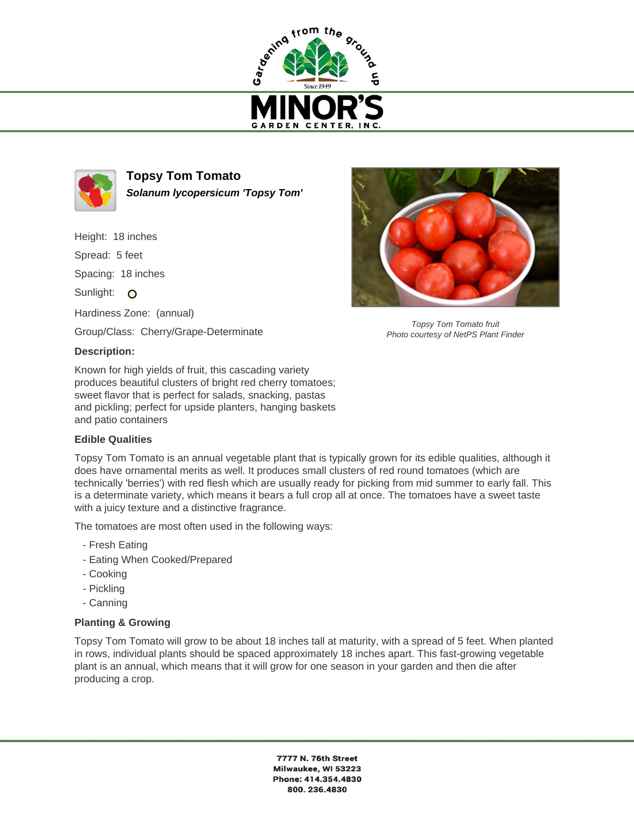



**Topsy Tom Tomato Solanum lycopersicum 'Topsy Tom'**

Height: 18 inches Spread: 5 feet

Spacing: 18 inches

Sunlight: O

Hardiness Zone: (annual)

Group/Class: Cherry/Grape-Determinate

## **Description:**

Known for high yields of fruit, this cascading variety produces beautiful clusters of bright red cherry tomatoes; sweet flavor that is perfect for salads, snacking, pastas and pickling; perfect for upside planters, hanging baskets and patio containers

## **Edible Qualities**

Topsy Tom Tomato is an annual vegetable plant that is typically grown for its edible qualities, although it does have ornamental merits as well. It produces small clusters of red round tomatoes (which are technically 'berries') with red flesh which are usually ready for picking from mid summer to early fall. This is a determinate variety, which means it bears a full crop all at once. The tomatoes have a sweet taste with a juicy texture and a distinctive fragrance.

The tomatoes are most often used in the following ways:

- Fresh Eating
- Eating When Cooked/Prepared
- Cooking
- Pickling
- Canning

## **Planting & Growing**

Topsy Tom Tomato will grow to be about 18 inches tall at maturity, with a spread of 5 feet. When planted in rows, individual plants should be spaced approximately 18 inches apart. This fast-growing vegetable plant is an annual, which means that it will grow for one season in your garden and then die after producing a crop.



Topsy Tom Tomato fruit Photo courtesy of NetPS Plant Finder

7777 N. 76th Street Milwaukee, WI 53223 Phone: 414.354.4830 800.236.4830